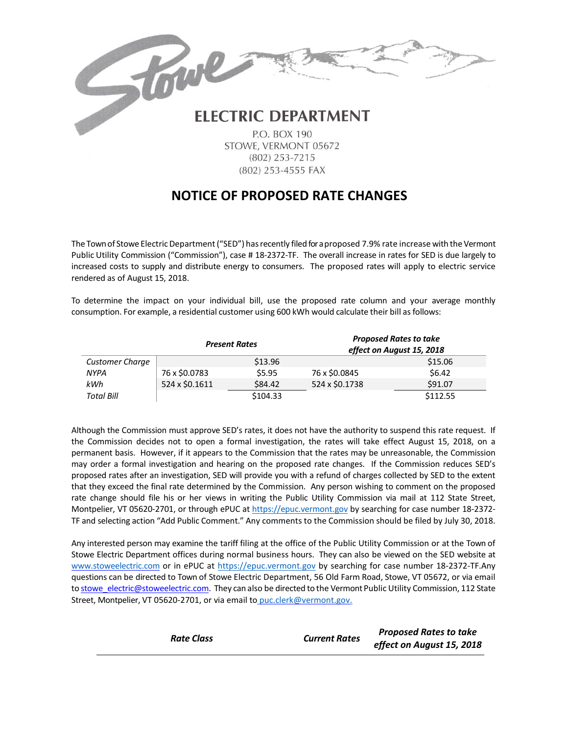## Towe **ELECTRIC DEPARTMENT**

P.O. BOX 190 STOWE, VERMONT 05672  $(802)$  253-7215 (802) 253-4555 FAX

## **NOTICE OF PROPOSED RATE CHANGES**

The Town of Stowe Electric Department ("SED") has recently filed for a proposed 7.9% rate increase with the Vermont Public Utility Commission ("Commission"), case # 18-2372-TF. The overall increase in rates for SED is due largely to increased costs to supply and distribute energy to consumers. The proposed rates will apply to electric service rendered as of August 15, 2018.

To determine the impact on your individual bill, use the proposed rate column and your average monthly consumption. For example, a residential customer using 600 kWh would calculate their bill asfollows:

|                        | <b>Present Rates</b> |          | <b>Proposed Rates to take</b><br>effect on August 15, 2018 |          |
|------------------------|----------------------|----------|------------------------------------------------------------|----------|
| <b>Customer Charge</b> |                      | \$13.96  |                                                            | \$15.06  |
| <b>NYPA</b>            | 76 x \$0.0783        | \$5.95   | 76 x \$0.0845                                              | \$6.42   |
| kWh                    | 524 x \$0.1611       | \$84.42  | 524 x \$0.1738                                             | \$91.07  |
| <b>Total Bill</b>      |                      | \$104.33 |                                                            | \$112.55 |

Although the Commission must approve SED's rates, it does not have the authority to suspend this rate request. If the Commission decides not to open a formal investigation, the rates will take effect August 15, 2018, on a permanent basis. However, if it appears to the Commission that the rates may be unreasonable, the Commission may order a formal investigation and hearing on the proposed rate changes. If the Commission reduces SED's proposed rates after an investigation, SED will provide you with a refund of charges collected by SED to the extent that they exceed the final rate determined by the Commission. Any person wishing to comment on the proposed rate change should file his or her views in writing the Public Utility Commission via mail at 112 State Street, Montpelier, VT 05620-2701, or through ePUC at [https://epuc.vermont.gov](https://epuc.vermont.gov/) by searching for case number 18-2372-TF and selecting action "Add Public Comment." Any comments to the Commission should be filed by July 30, 2018.

Any interested person may examine the tariff filing at the office of the Public Utility Commission or at the Town of Stowe Electric Department offices during normal business hours. They can also be viewed on the SED website at [www.stoweelectric.com](http://www.stoweelectric.com/) or in ePUC at [https://epuc.vermont.gov](https://epuc.vermont.gov/) by searching for case number 18-2372-TF.Any questions can be directed to Town of Stowe Electric Department, 56 Old Farm Road, Stowe, VT 05672, or via email to stowe electric@stoweelectric.com. They can also be directed to the Vermont Public Utility Commission, 112 State Street, Montpelier, VT 05620-2701, or via email to [puc.clerk@vermont.gov.](mailto:%20puc.clerk@vermont.gov.)

|                   |                      | <b>Proposed Rates to take</b> |
|-------------------|----------------------|-------------------------------|
| <b>Rate Class</b> | <b>Current Rates</b> | effect on August 15, 2018     |